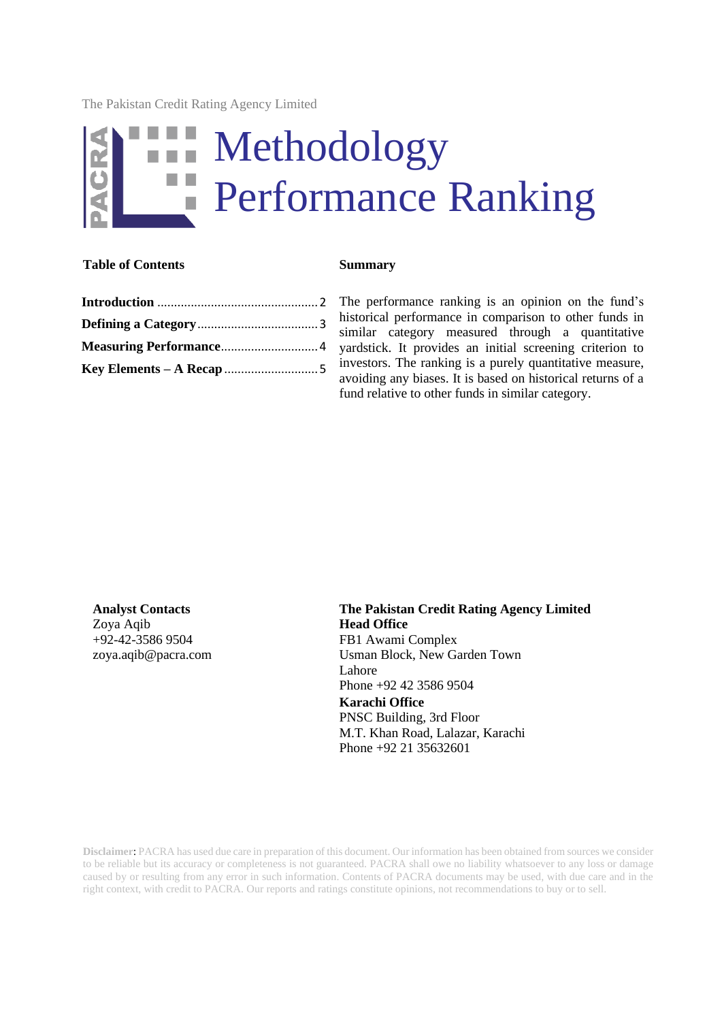The Pakistan Credit Rating Agency Limited

# Methodology a a Performance Ranking

### **Table of Contents Summary**

The performance ranking is an opinion on the fund's historical performance in comparison to other funds in similar category measured through a quantitative yardstick. It provides an initial screening criterion to investors. The ranking is a purely quantitative measure, avoiding any biases. It is based on historical returns of a fund relative to other funds in similar category.

Zoya Aqib +92-42-3586 9504 [zoya.aqib@pacra.com](mailto:zoya.aqib@pacra.com)

**Analyst Contacts The Pakistan Credit Rating Agency Limited Head Office** FB1 Awami Complex Usman Block, New Garden Town Lahore Phone +92 42 3586 9504 **Karachi Office** PNSC Building, 3rd Floor M.T. Khan Road, Lalazar, Karachi Phone +92 21 35632601

**Disclaimer**: PACRA has used due care in preparation of this document. Our information has been obtained from sources we consider to be reliable but its accuracy or completeness is not guaranteed. PACRA shall owe no liability whatsoever to any loss or damage caused by or resulting from any error in such information. Contents of PACRA documents may be used, with due care and in the right context, with credit to PACRA. Our reports and ratings constitute opinions, not recommendations to buy or to sell.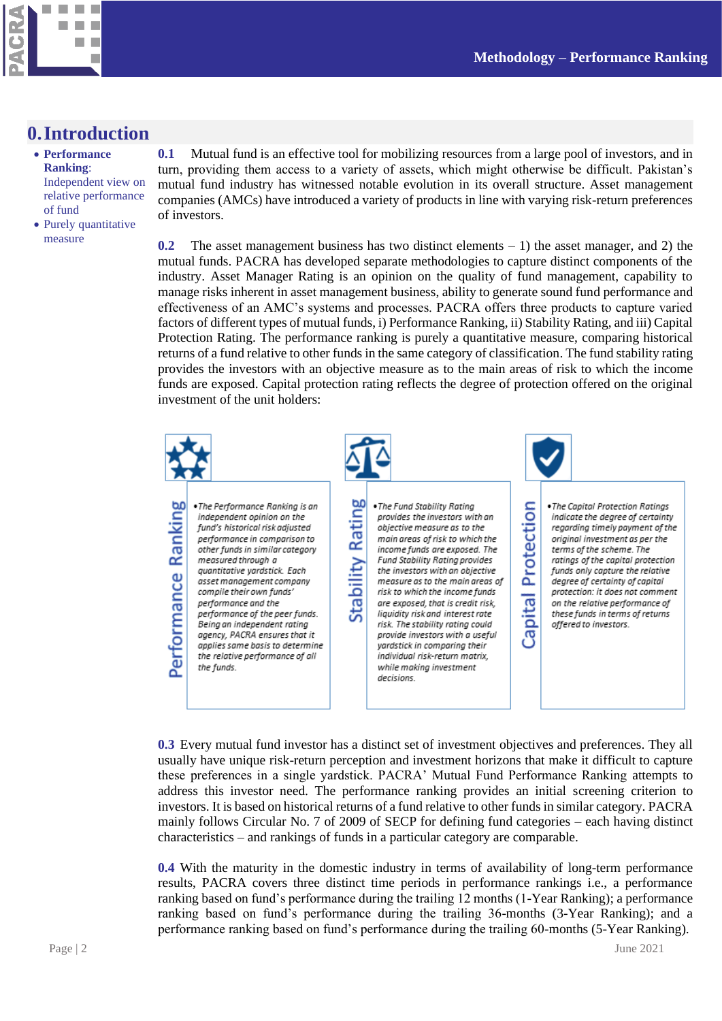

# <span id="page-1-0"></span>**0.Introduction**

- **Performance Ranking**: Independent view on relative performance of fund
- Purely quantitative measure

**0.1** Mutual fund is an effective tool for mobilizing resources from a large pool of investors, and in turn, providing them access to a variety of assets, which might otherwise be difficult. Pakistan's mutual fund industry has witnessed notable evolution in its overall structure. Asset management companies (AMCs) have introduced a variety of products in line with varying risk-return preferences of investors.

**0.2** The asset management business has two distinct elements – 1) the asset manager, and 2) the mutual funds. PACRA has developed separate methodologies to capture distinct components of the industry. Asset Manager Rating is an opinion on the quality of fund management, capability to manage risks inherent in asset management business, ability to generate sound fund performance and effectiveness of an AMC's systems and processes. PACRA offers three products to capture varied factors of different types of mutual funds, i) Performance Ranking, ii) Stability Rating, and iii) Capital Protection Rating. The performance ranking is purely a quantitative measure, comparing historical returns of a fund relative to other funds in the same category of classification. The fund stability rating provides the investors with an objective measure as to the main areas of risk to which the income funds are exposed. Capital protection rating reflects the degree of protection offered on the original investment of the unit holders:



**0.3** Every mutual fund investor has a distinct set of investment objectives and preferences. They all usually have unique risk-return perception and investment horizons that make it difficult to capture these preferences in a single yardstick. PACRA' Mutual Fund Performance Ranking attempts to address this investor need. The performance ranking provides an initial screening criterion to investors. It is based on historical returns of a fund relative to other funds in similar category. PACRA mainly follows Circular No. 7 of 2009 of SECP for defining fund categories – each having distinct characteristics – and rankings of funds in a particular category are comparable.

**0.4** With the maturity in the domestic industry in terms of availability of long-term performance results, PACRA covers three distinct time periods in performance rankings i.e., a performance ranking based on fund's performance during the trailing 12 months (1-Year Ranking); a performance ranking based on fund's performance during the trailing 36-months (3-Year Ranking); and a performance ranking based on fund's performance during the trailing 60-months (5-Year Ranking).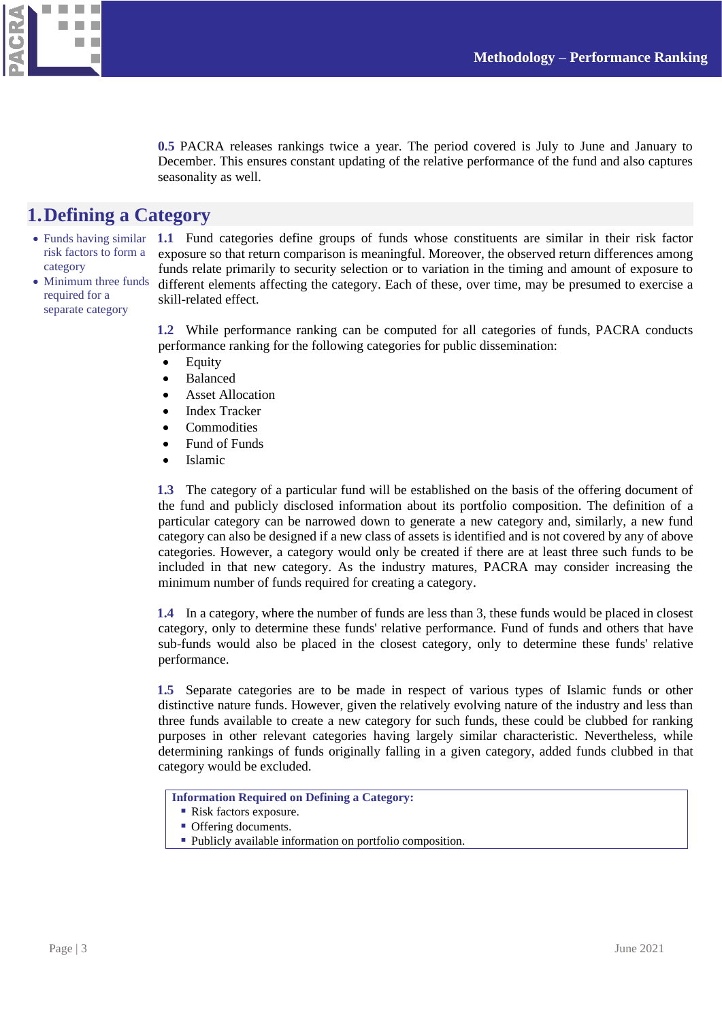

**0.5** PACRA releases rankings twice a year. The period covered is July to June and January to December. This ensures constant updating of the relative performance of the fund and also captures seasonality as well.

# <span id="page-2-0"></span>**1.Defining a Category**

- Funds having similar risk factors to form a category
- Minimum three funds required for a separate category

**1.1** Fund categories define groups of funds whose constituents are similar in their risk factor exposure so that return comparison is meaningful. Moreover, the observed return differences among funds relate primarily to security selection or to variation in the timing and amount of exposure to different elements affecting the category. Each of these, over time, may be presumed to exercise a skill-related effect.

**1.2** While performance ranking can be computed for all categories of funds, PACRA conducts performance ranking for the following categories for public dissemination:

- Equity
- Balanced
- Asset Allocation
- Index Tracker
- Commodities
- Fund of Funds
- Islamic

**1.3** The category of a particular fund will be established on the basis of the offering document of the fund and publicly disclosed information about its portfolio composition. The definition of a particular category can be narrowed down to generate a new category and, similarly, a new fund category can also be designed if a new class of assets is identified and is not covered by any of above categories. However, a category would only be created if there are at least three such funds to be included in that new category. As the industry matures, PACRA may consider increasing the minimum number of funds required for creating a category.

**1.4** In a category, where the number of funds are less than 3, these funds would be placed in closest category, only to determine these funds' relative performance. Fund of funds and others that have sub-funds would also be placed in the closest category, only to determine these funds' relative performance.

**1.5** Separate categories are to be made in respect of various types of Islamic funds or other distinctive nature funds. However, given the relatively evolving nature of the industry and less than three funds available to create a new category for such funds, these could be clubbed for ranking purposes in other relevant categories having largely similar characteristic. Nevertheless, while determining rankings of funds originally falling in a given category, added funds clubbed in that category would be excluded.

**Information Required on Defining a Category:**

- Risk factors exposure.
- **Offering documents.**
- Publicly available information on portfolio composition.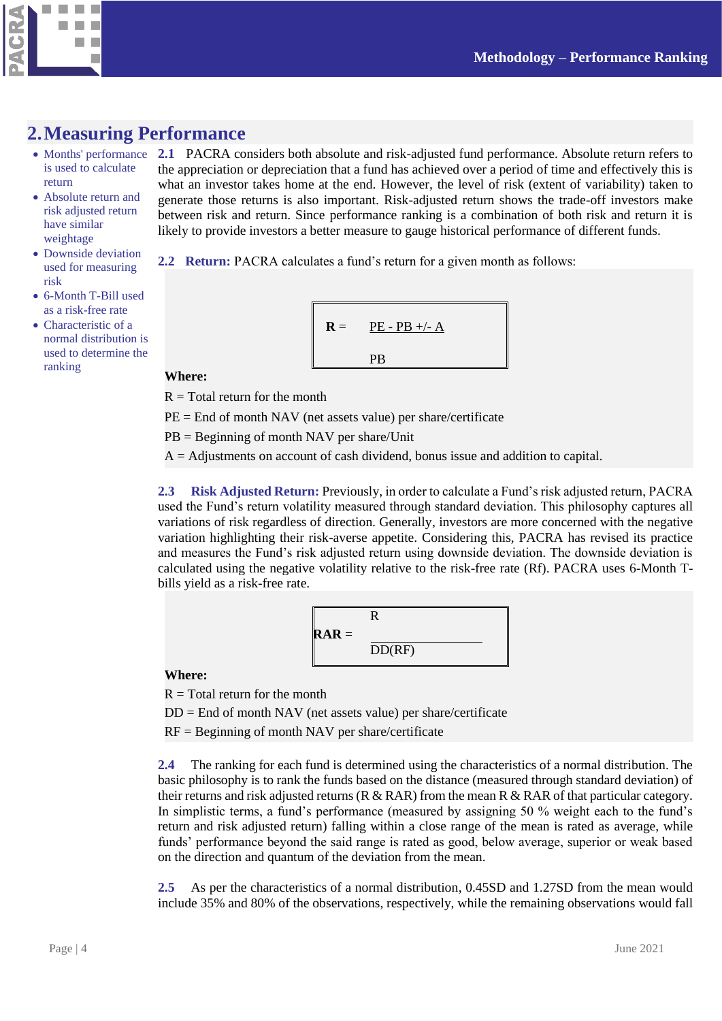



# <span id="page-3-0"></span>**2.Measuring Performance**

- Months' performance is used to calculate return
- Absolute return and risk adjusted return have similar weightage
- Downside deviation used for measuring risk
- 6-Month T-Bill used as a risk-free rate
- Characteristic of a normal distribution is used to determine the ranking

**2.1** PACRA considers both absolute and risk-adjusted fund performance. Absolute return refers to the appreciation or depreciation that a fund has achieved over a period of time and effectively this is what an investor takes home at the end. However, the level of risk (extent of variability) taken to generate those returns is also important. Risk-adjusted return shows the trade-off investors make between risk and return. Since performance ranking is a combination of both risk and return it is likely to provide investors a better measure to gauge historical performance of different funds.

**2.2 Return:** PACRA calculates a fund's return for a given month as follows:

$$
\mathbf{R} = \frac{\mathbf{P} \mathbf{E} - \mathbf{P} \mathbf{B} + \mathbf{A}}{\mathbf{P} \mathbf{B}}
$$

#### **Where:**

 $R = Total$  return for the month

 $PE =$  End of month NAV (net assets value) per share/certificate

PB = Beginning of month NAV per share/Unit

 $A =$  Adjustments on account of cash dividend, bonus issue and addition to capital.

**2.3 Risk Adjusted Return:** Previously, in order to calculate a Fund's risk adjusted return, PACRA used the Fund's return volatility measured through standard deviation. This philosophy captures all variations of risk regardless of direction. Generally, investors are more concerned with the negative variation highlighting their risk-averse appetite. Considering this, PACRA has revised its practice and measures the Fund's risk adjusted return using downside deviation. The downside deviation is calculated using the negative volatility relative to the risk-free rate (Rf). PACRA uses 6-Month Tbills yield as a risk-free rate.

$$
RAR = \frac{R}{DD(RF)}
$$

### **Where:**

 $R = Total$  return for the month

 $DD =$  End of month NAV (net assets value) per share/certificate

 $RF = Beginning of month NAV per share/certificate$ 

**2.4** The ranking for each fund is determined using the characteristics of a normal distribution. The basic philosophy is to rank the funds based on the distance (measured through standard deviation) of their returns and risk adjusted returns (R & RAR) from the mean R & RAR of that particular category. In simplistic terms, a fund's performance (measured by assigning 50 % weight each to the fund's return and risk adjusted return) falling within a close range of the mean is rated as average, while funds' performance beyond the said range is rated as good, below average, superior or weak based on the direction and quantum of the deviation from the mean.

**2.5** As per the characteristics of a normal distribution, 0.45SD and 1.27SD from the mean would include 35% and 80% of the observations, respectively, while the remaining observations would fall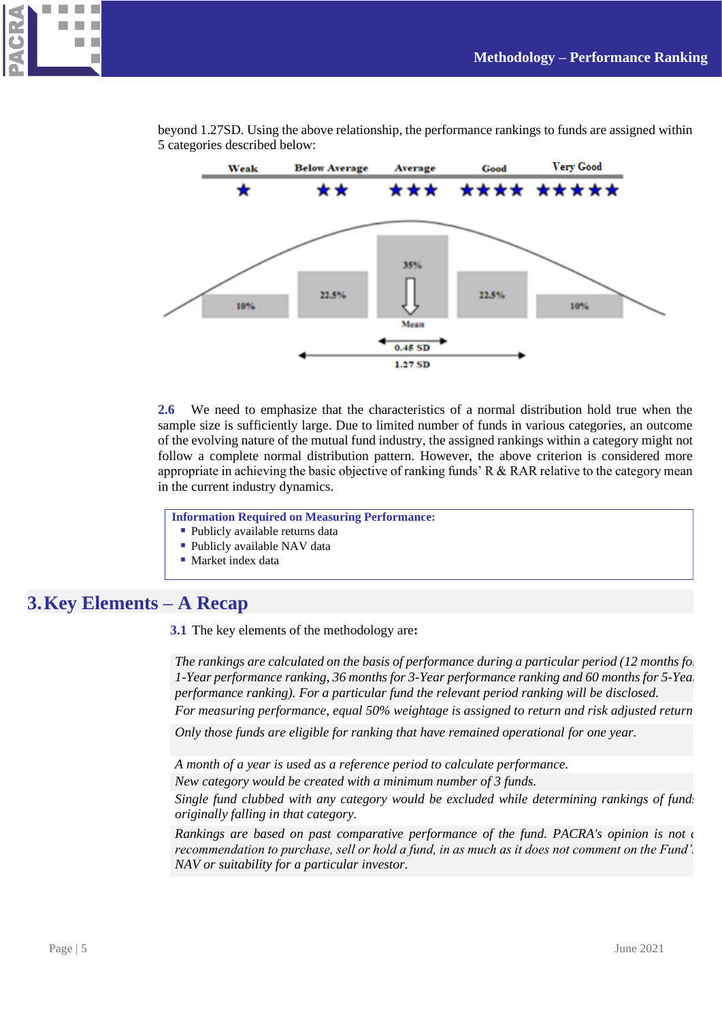



beyond 1.27SD. Using the above relationship, the performance rankings to funds are assigned within 5 categories described below:

**2.6** We need to emphasize that the characteristics of a normal distribution hold true when the sample size is sufficiently large. Due to limited number of funds in various categories, an outcome of the evolving nature of the mutual fund industry, the assigned rankings within a category might not follow a complete normal distribution pattern. However, the above criterion is considered more appropriate in achieving the basic objective of ranking funds' R & RAR relative to the category mean in the current industry dynamics.

**Information Required on Measuring Performance:**

- Publicly available returns data
- Publicly available NAV data
- Market index data

# <span id="page-4-0"></span>**3.Key Elements – A Recap**

**3.1** The key elements of the methodology are**:**

*The rankings are calculated on the basis of performance during a particular period (12 months for the state) 1-Year performance ranking, 36 months for 3-Year performance ranking and 60 months for 5-Year performance ranking). For a particular fund the relevant period ranking will be disclosed. For measuring performance, equal 50% weightage is assigned to return and risk adjusted return.*

*Only those funds are eligible for ranking that have remained operational for one year.*

*A month of a year is used as a reference period to calculate performance. New category would be created with a minimum number of 3 funds.*

*Single fund clubbed with any category would be excluded while determining rankings of funds originally falling in that category.*

*Rankings are based on past comparative performance of the fund. PACRA's opinion is not a recommendation to purchase, sell or hold a fund, in as much as it does not comment on the Fund's NAV or suitability for a particular investor.*